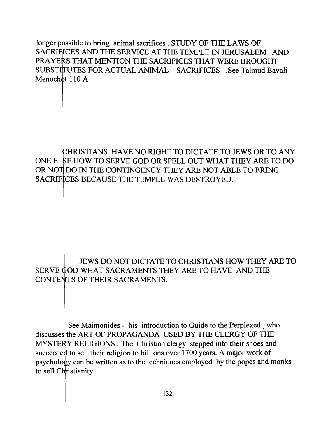longer possible to bring animal sacrifices . STUDY OF THE LAWS OF SACRIFICES AND THE SERVICE AT THE TEMPLE IN JERUSALEM AND PRAYERS THAT MENTION THE SACRIFICES THAT WERE BROUGHT SUBSTITUTES FOR ACTUAL ANIMAL SACRIFICES .See Talmud Bavali Menochot  $110 \text{ A}$ 

HRISTIANS HAVE NO RIGHT TO DICTATE TO JEWS OR TO ANY ONE ELSE HOW TO SERVE GOD OR SPELL OUT WHAT THEY ARE TO DO OR NOT DO IN THE CONTINGENCY THEY ARE NOT ABLE TO BRING SACRIFICES BECAUSE THE TEMPLE WAS DESTROYED.

JEWS DO NOT DICTATE TO CHRISTIANS HOW THEY ARE TO SERVE GOD WHAT SACRAMENTS THEY ARE TO HAVE AND THE CONTENTS OF THEIR SACRAMENTS.

See Maimonides - his introduction to Guide to the Perplexed, who discusses the ART OF PROPAGANDA USED BY THE CLERGY OF THE MYSTERY RELIGIONS. The Christian clergy stepped into their shoes and succeeded to sell their religion to billions over 1700 years. A major work of psychology can be written as to the techniques employed by the popes and monks to sell Christianity.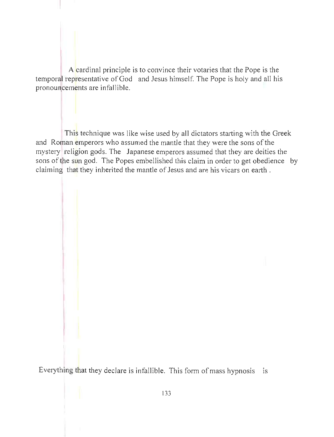A cardinal principle is to convince their votaries that the Pope is the temporal representative of God and Jesus himself. The Pope is holy and all his pronouncements are infallible.

This technique was like wise used by all dictators starting with the Greek and Roman emperors who assumed the mantle that they were the sons of the mystery religion gods. The Japanese emperors assumed that they are deities the sons of the sun god. The Popes embellished this claim in order to get obedience by claiming that they inherited the mantle of Jesus and are his vicars on earth.

Everything that they declare is infallible. This form of mass hypnosis is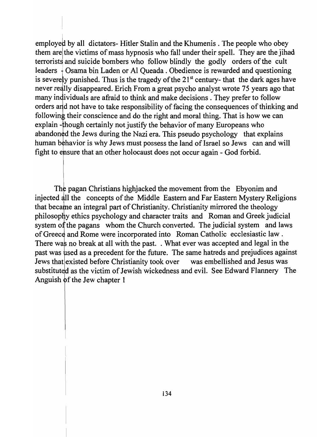employed by all dictators- Hitler Stalin and the Khumenis. The people who obey them arel the victims of mass hypnosis who fall under their spell. They are the jihad terrorists and suicide bombers who follow blindly the godly orders of the cult leaders  $\frac{1}{2}$  Osama bin Laden or Al Queada . Obedience is rewarded and questioning is severely punished. Thus is the tragedy of the  $21<sup>st</sup>$  century- that the dark ages have never really disappeared. Erich From a great psycho analyst wrote 75 years ago that many individuals are afraid to think and make decisions. They prefer to follow orders and not have to take responsibility of facing the consequences of thinking and following their conscience and do the right and moral thing. That is how we can explain - though certainly not justify the behavior of many Europeans who abandoned the Jews during the Nazi era. This pseudo psychology that explains human behavior is why Jews must possess the land of Israel so Jews can and will fight to ensure that an other holocaust does not occur again - God forbid.

The pagan Christians highjacked the movement from the Ebyonim and injected all the concepts of the Middle Eastern and Far Eastern Mystery Religions that became an integral part of Christianity. Christianity mirrored the theology philosophy ethics psychology and character traits and Roman and Greek judicial system of the pagans whom the Church converted. The judicial system and laws of Greece and Rome were incorporated into Roman Catholic ecclesiastic law. There was no break at all with the past. . What ever was accepted and legal in the past was used as a precedent for the future. The same hatreds and prejudices against Jews that existed before Christianity took over was embellished and Jesus was substituted as the victim of Jewish wickedness and evil. See Edward Flannery The Anguish of the Jew chapter 1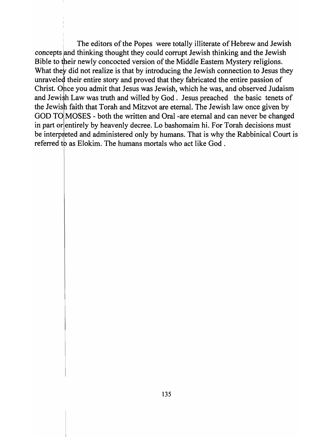The editors of the Popes were totally illiterate of Hebrew and Jewish concepts and thinking thought they could corrupt Jewish thinking and the Jewish Bible to their newly concocted version of the Middle Eastern Mystery religions. What they did not realize is that by introducing the Jewish connection to Jesus they unraveled their entire story and proved that they fabricated the entire passion of Christ. Once you admit that Jesus was Jewish, which he was, and observed Judaism and Jewish Law was truth and willed by God. Jesus preached the basic tenets of the Jewish faith that Torah and Mitzvot are eternal. The Jewish law once given by GOD TO MOSES - both the written and Oral -are eternal and can never be changed in part or entirely by heavenly decree. Lo bashomaim hi. For Torah decisions must be interpreted and administered only by humans. That is why the Rabbinical Court is referred to as Elokim. The humans mortals who act like God.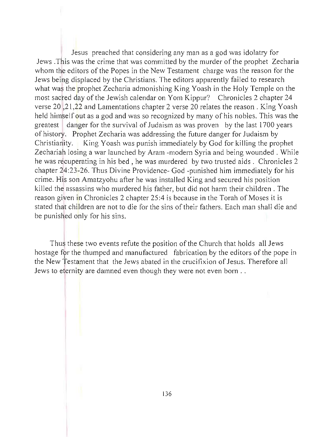Jesus preached that considering any man as a god was idolatry for Jews. This was the crime that was committed by the murder of the prophet Zecharia whom the editors of the Popes in the New Testament charge was the reason for the Jews being displaced by the Christians. The editors apparently failed to research what was the prophet Zecharia admonishing King Yoash in the Holy Temple on the most sacred day of the Jewish calendar on Yom Kippur? Chronicles 2 chapter 24 verse 20, 21, 22 and Lamentations chapter 2 verse 20 relates the reason. King Yoash held himself out as a god and was so recognized by many of his nobles. This was the greatest | danger for the survival of Judaism as was proven by the last 1700 years of history. Prophet Zecharia was addressing the future danger for Judaism by Christianity. King Yoash was punish immediately by God for killing the prophet Zechariah losing a war launched by Aram -modern Syria and being wounded. While he was recuperating in his bed, he was murdered by two trusted aids. Chronicles 2 chapter 24:23-26. Thus Divine Providence- God -punished him immediately for his crime. His son Amatzyohu after he was installed King and secured his position killed the assassins who murdered his father, but did not harm their children. The reason given in Chronicles 2 chapter 25:4 is because in the Torah of Moses it is stated that children are not to die for the sins of their fathers. Each man shall die and be punished only for his sins.

Thus these two events refute the position of the Church that holds all Jews hostage for the thumped and manufactured fabrication by the editors of the pope in the New Testament that the Jews abated in the crucifixion of Jesus. Therefore all Jews to eternity are damned even though they were not even born ...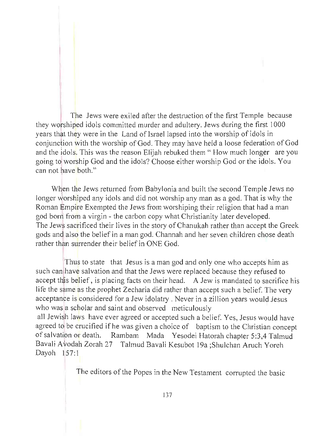The Jews were exiled after the destruction of the first Temple because they worshiped idols committed murder and adultery. Jews during the first 1000 years that they were in the Land of Israel lapsed into the worship of idols in conjunction with the worship of God. They may have held a loose federation of God and the idols. This was the reason Elijah rebuked them "How much longer are you going *td* worship God and the idols? Choose either worship God or the idols. You can not have both."

When the Jews returned from Babylonia and built the second Temple Jews no longer worshiped any idols and did not worship any man as a god. That is why the Roman Empire Exempted the Jews from worshiping their religion that had a man god born from a virgin - the carbon copy what Christianity later developed. The Jews sacrificed their lives in the story of Chanukah rather than accept the Greek gods and also the belief in a man god. Channah and her seven children chose death rather than surrender their belief in ONE God.

Thus to state that Jesus is a man god and only one who accepts him as such can have salvation and that the Jews were replaced because they refused to accept this belief, is placing facts on their head. A Jew is mandated to sacrifice his life the same as the prophet Zecharia did rather than accept such a belief. The very acceptance is considered for a Jew idolatry. Never in a zillion years would Jesus who was a scholar and saint and observed meticulously all Jewish laws have ever agreed or accepted such a belief. Yes, Jesus would have agreed to be crucified if he was given a choice of baptism to the Christian concept of salvation or death. Rambam Mada Yesodei Hatorah chapter 5:3,4 Talmud Bavali Avodah Zorah 27 Talmud Bavali Kesubot 19a ;Shulchan Aruch Yoreh

Dayoh 157:1

The editors of the Popes in the New Testament corrupted the basic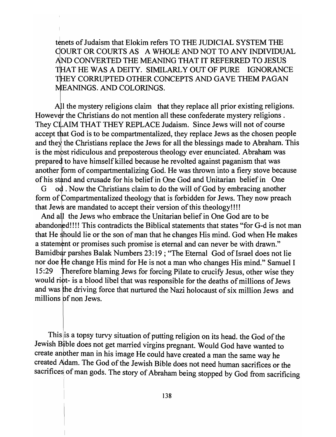tenets of Judaism that Elokim refers TO THE JUDICIAL SYSTEM THE OURT OR COURTS AS A WHOLE AND NOT TO ANY INDIVIDUAL AND CONVERTED THE MEANING THAT IT REFERRED TO JESUS THAT HE WAS A DEITY. SIMILARLY OUT OF PURE IGNORANCE THEY CORRUPTED OTHER CONCEPTS AND GAVE THEM PAGAN MEANINGS. AND COLORINGS.

All the mystery religions claim that they replace all prior existing religions. However the Christians do not mention all these confederate mystery religions. They CLAIM THAT THEY REPLACE Judaism. Since Jews will not of course accept that God is to be compartmentalized, they replace Jews as the chosen people and they the Christians replace the Jews for all the blessings made to Abraham. This is the most ridiculous and preposterous theology ever enunciated. Abraham was prepared to have himself killed because he revolted against paganism that was another form of compartmentalizing God. He was thrown into a fiery stove because of his stand and crusade for his belief in One God and Unitarian belief in One

G od. Now the Christians claim to do the will of God by embracing another form of Compartmentalized theology that is forbidden for Jews. They now preach that Jews are mandated to accept their version of this theology!!!!

And all the Jews who embrace the Unitarian belief in One God are to be abandoned!!!! This contradicts the Biblical statements that states "for G-d is not man that He should lie or the son of man that he changes His mind. God when He makes a statement or promises such promise is eternal and can never be with drawn." Bamidbar parshes Balak Numbers 23:19; "The Eternal God of Israel does not lie nor doe He change His mind for He is not a man who changes His mind." Samuel I 15:29 Therefore blaming Jews for forcing Pilate to crucify Jesus, other wise they would ript- is a blood libel that was responsible for the deaths of millions of Jews and was the driving force that nurtured the Nazi holocaust of six million Jews and millions of non Jews.

This is a topsy turvy situation of putting religion on its head. the God of the Jewish Bible does not get married virgins pregnant. Would God have wanted to create another man in his image He could have created a man the same way he created Aldam. The God of the Jewish Bible does not need human sacrifices or the sacrifices of man gods. The story of Abraham being stopped by God from sacrificing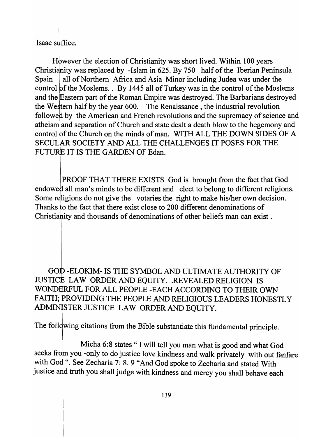Isaac suffice.

However the election of Christianity was short lived. Within 100 years Christianity was replaced by -Islam in 625. By 750 half of the Iberian Peninsula all of Northern Africa and Asia Minor including Judea was under the Spain control of the Moslems. . By 1445 all of Turkey was in the control of the Moslems and the Eastern part of the Roman Empire was destroyed. The Barbarians destroyed the Western half by the year 600. The Renaissance, the industrial revolution followed by the American and French revolutions and the supremacy of science and atheism and separation of Church and state dealt a death blow to the hegemony and control of the Church on the minds of man. WITH ALL THE DOWN SIDES OF A SECULAR SOCIETY AND ALL THE CHALLENGES IT POSES FOR THE FUTURE IT IS THE GARDEN OF Edan.

PROOF THAT THERE EXISTS God is brought from the fact that God endowed all man's minds to be different and elect to belong to different religions. Some religions do not give the votaries the right to make his/her own decision. Thanks to the fact that there exist close to 200 different denominations of Christia hity and thousands of denominations of other beliefs man can exist.

GOD-ELOKIM- IS THE SYMBOL AND ULTIMATE AUTHORITY OF JUSTICE LAW ORDER AND EQUITY. .REVEALED RELIGION IS WONDERFUL FOR ALL PEOPLE -EACH ACCORDING TO THEIR OWN FAITH; PROVIDING THE PEOPLE AND RELIGIOUS LEADERS HONESTLY ADMINISTER JUSTICE LAW ORDER AND EQUITY.

The following citations from the Bible substantiate this fundamental principle.

Micha 6:8 states" I will tell you man what is good and what God seeks from you -only to do justice love kindness and walk privately with out fanfare with God ". See Zecharia 7: 8. 9 "And God spoke to Zecharia and stated With justice and truth you shall judge with kindness and mercy you shall behave each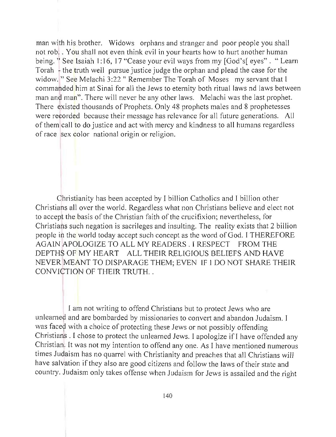man with his brother. Widows orphans and stranger and poor people you shall not rob. . You shall not even think evil in your hearts how to hurt another human being. "See Isaiah 1:16, 17 "Cease your evil ways from my [God's] eyes". "Learn Torah - the truth well pursue justice judge the orphan and plead the case for the widow. " See Melachi 3:22 " Remember The Torah of Moses my servant that I commanded him at Sinai for all the Jews to eternity both ritual laws nd laws between man and man". There will never be any other laws. Melachi was the last prophet. There existed thousands of Prophets. Only 48 prophets males and 8 prophetesses were recorded because their message has relevance for all future generations. All of them call to do justice and act with mercy and kindness to all humans regardless of race sex color national origin or religion.

Ohristianity has been accepted by I billion Catholics and I billion other Christians all over the world. Regardless what non Christians believe and elect not to accept the basis of the Christian faith of the crucifixion; nevertheless, for Christians such negation is sacrileges and insulting. The reality exists that 2 billion people in the world today accept such concept as the word of God. I THEREFORE AGAIN !APOLOGIZE TO ALL MY READERS. I RESPECT FROM THE DEPTHS OF MY HEART ALL THEIR RELIGIOUS BELIEFS AND HAVE NEVER MEANT TO DISPARAGE THEM; EVEN IF I DO NOT SHARE THEIR CONVICTION OF THEIR TRUTH...

I am not writing to offend Christians but to protect Jews who are unlearned and are bombarded by missionaries to convert and abandon Judaism. I was faced with a choice of protecting these Jews or not possibly offending Christians . I chose to protect the unlearned Jews. I apologize if I have offended any Christian. It was not my intention to offend anyone. As I have mentioned numerous times Judaism has no quarrel with Christianity and preaches that all Christians *will*  have salvation if they also are good citizens and follow the laws of their state and country. Judaism only takes offense when Judaism for Jews is assailed and the right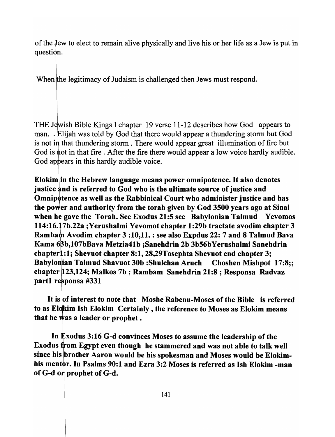of the *lew* to elect to remain alive physically and live his or her life as a Jew is put in question.

When the legitimacy of Judaism is challenged then Jews must respond.

THE Jewish Bible Kings I chapter 19 verse 11-12 describes how God appears to man.. Elijah was told by God that there would appear a thundering storm but God is not in that thundering storm. There would appear great illumination of fire but God is not in that fire. After the fire there would appear a low voice hardly audible. God appears in this hardly audible voice.

Elokim in the Hebrew language means power omnipotence. It also denotes justice and is referred to God who is the ultimate source of justice and Omnipotence as well as the Rabbinical Court who administer justice and has the power and authority from the torah given by God 3500 years ago at Sinai when he gave the Torah. See Exodus 21:5 see Babylonian Talmud Yevomos 114:16. 7b.22a ;Yerushalmi Yevomot chapter 1:29b tractate avodim chapter 3 Rambam Avodim chapter 3:10,11.: see also Expdus 22: 7 and 8 Talmud Bava Kama 63b,107bBava Metzia41b ;Sanehdrin 2b 3b56bYerushalmi Sanehdrin chapter 1:1; Shevuot chapter 8:1, 28,29Tosephta Shevuot end chapter 3; Babylonian Talmud Shavuot 30b :Shulchan Aruch Choshen Mishpot 17:8;; chapter 123,124; Malkos 7b ; Rambam Sanehdrin 21:8 ; Responsa Radvaz part1 responsa #331

It is of interest to note that Moshe Rabenu-Moses of the Bible is referred to as Elokim Ish Elokim Certainly, the reference to Moses as Elokim means that he was a leader or prophet.

In  ${\bf k}$ xodus 3:16 G-d convinces Moses to assume the leadership of the Exodus from Egypt even though he stammered and was not able to talk well since his brother Aaron would be his spokesman and Moses would be Elokimhis mentor. In Psalms 90:1 and Ezra 3:2 Moses is referred as Ish Elokim -man of G-d or prophet of G-d.